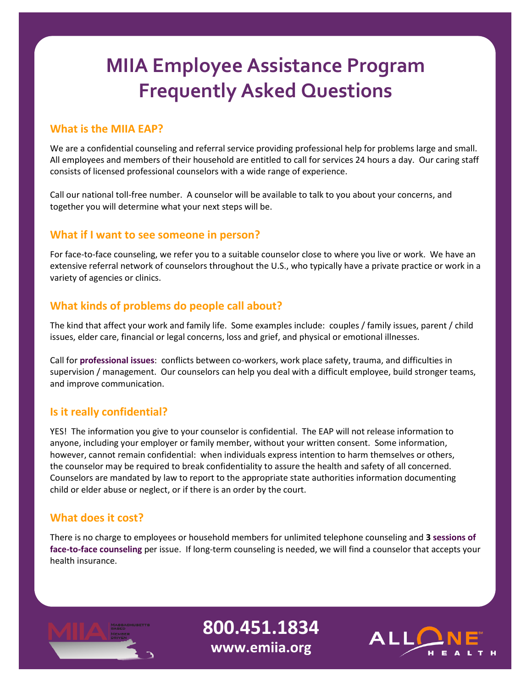# **MIIA Employee Assistance Program Frequently Asked Questions**

## **What is the MIIA EAP?**

We are a confidential counseling and referral service providing professional help for problems large and small. All employees and members of their household are entitled to call for services 24 hours a day. Our caring staff consists of licensed professional counselors with a wide range of experience.

Call our national toll-free number. A counselor will be available to talk to you about your concerns, and together you will determine what your next steps will be.

### **What if I want to see someone in person?**

For face-to-face counseling, we refer you to a suitable counselor close to where you live or work. We have an extensive referral network of counselors throughout the U.S., who typically have a private practice or work in a variety of agencies or clinics.

## **What kinds of problems do people call about?**

The kind that affect your work and family life. Some examples include: couples / family issues, parent / child issues, elder care, financial or legal concerns, loss and grief, and physical or emotional illnesses.

Call for **professional issues**: conflicts between co-workers, work place safety, trauma, and difficulties in supervision / management. Our counselors can help you deal with a difficult employee, build stronger teams, and improve communication.

# **Is it really confidential?**

YES! The information you give to your counselor is confidential. The EAP will not release information to anyone, including your employer or family member, without your written consent. Some information, however, cannot remain confidential: when individuals express intention to harm themselves or others, the counselor may be required to break confidentiality to assure the health and safety of all concerned. Counselors are mandated by law to report to the appropriate state authorities information documenting child or elder abuse or neglect, or if there is an order by the court.

# **What does it cost?**

There is no charge to employees or household members for unlimited telephone counseling and **3 sessions of face-to-face counseling** per issue. If long-term counseling is needed, we will find a counselor that accepts your health insurance.



**800.451.1834 www.emiia.org**